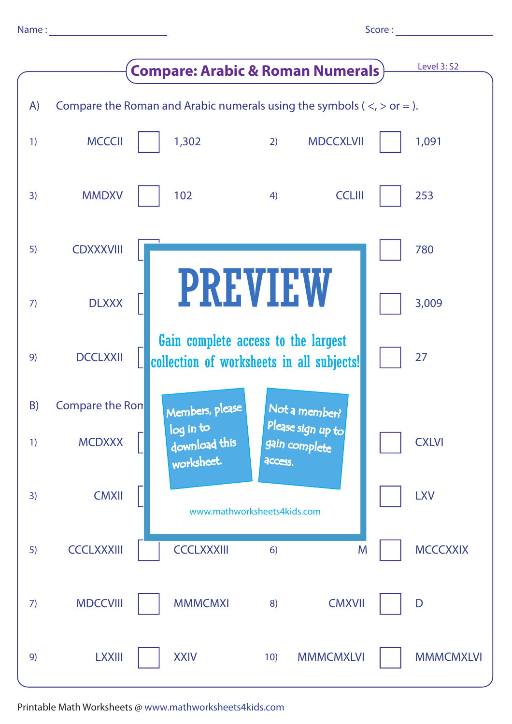